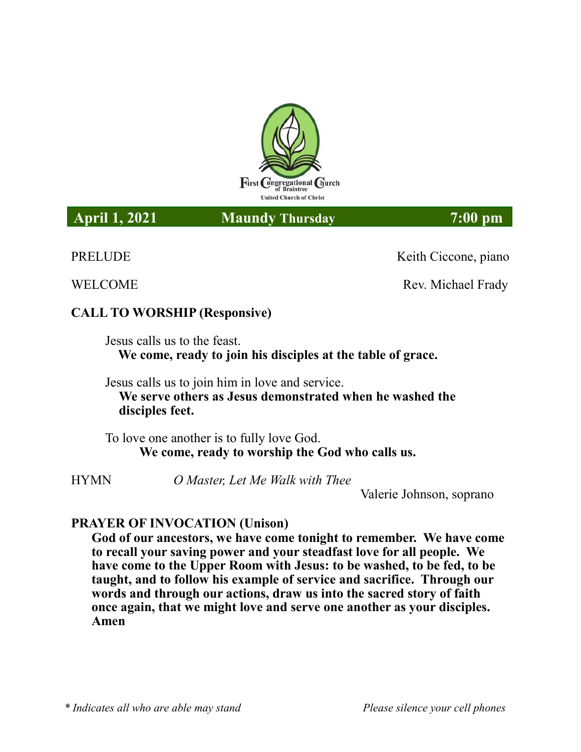

### **April 1, 2021 Maundy Thursday 7:00 pm**

PRELUDE Keith Ciccone, piano

**WELCOME Rev. Michael Frady** 

# **CALL TO WORSHIP (Responsive)**

Jesus calls us to the feast.  **We come, ready to join his disciples at the table of grace.**

Jesus calls us to join him in love and service. **We serve others as Jesus demonstrated when he washed the disciples feet.**

To love one another is to fully love God. **We come, ready to worship the God who calls us.**

HYMN *O Master, Let Me Walk with Thee*

Valerie Johnson, soprano

# **PRAYER OF INVOCATION (Unison)**

**God of our ancestors, we have come tonight to remember. We have come to recall your saving power and your steadfast love for all people. We have come to the Upper Room with Jesus: to be washed, to be fed, to be taught, and to follow his example of service and sacrifice. Through our words and through our actions, draw us into the sacred story of faith once again, that we might love and serve one another as your disciples. Amen**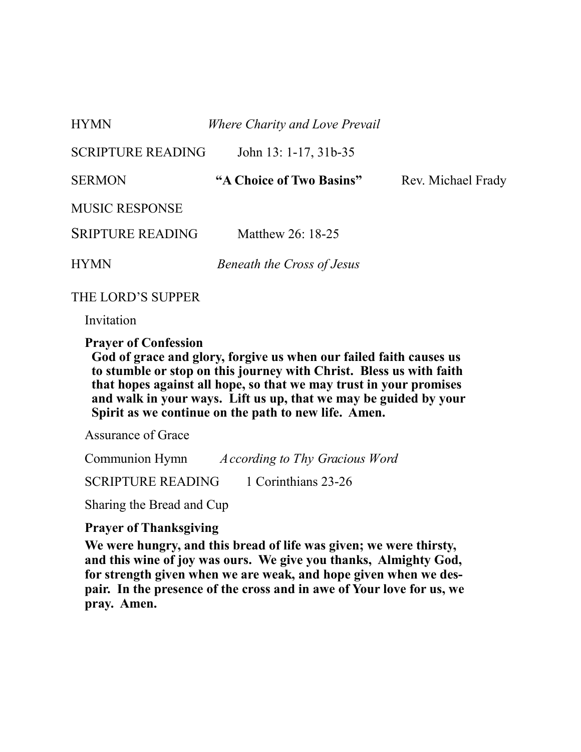| <b>HYMN</b>              | Where Charity and Love Prevail    |                    |
|--------------------------|-----------------------------------|--------------------|
| <b>SCRIPTURE READING</b> | John 13: 1-17, 31b-35             |                    |
| <b>SERMON</b>            | "A Choice of Two Basins"          | Rev. Michael Frady |
| <b>MUSIC RESPONSE</b>    |                                   |                    |
| <b>SRIPTURE READING</b>  | Matthew 26: 18-25                 |                    |
| <b>HYMN</b>              | <b>Beneath the Cross of Jesus</b> |                    |

THE LORD'S SUPPER

Invitation

**Prayer of Confession** 

**God of grace and glory, forgive us when our failed faith causes us to stumble or stop on this journey with Christ. Bless us with faith that hopes against all hope, so that we may trust in your promises and walk in your ways. Lift us up, that we may be guided by your Spirit as we continue on the path to new life. Amen.**

Assurance of Grace

Communion Hymn *According to Thy Gracious Word* 

SCRIPTURE READING 1 Corinthians 23-26

Sharing the Bread and Cup

#### **Prayer of Thanksgiving**

**We were hungry, and this bread of life was given; we were thirsty, and this wine of joy was ours. We give you thanks, Almighty God, for strength given when we are weak, and hope given when we despair. In the presence of the cross and in awe of Your love for us, we pray. Amen.**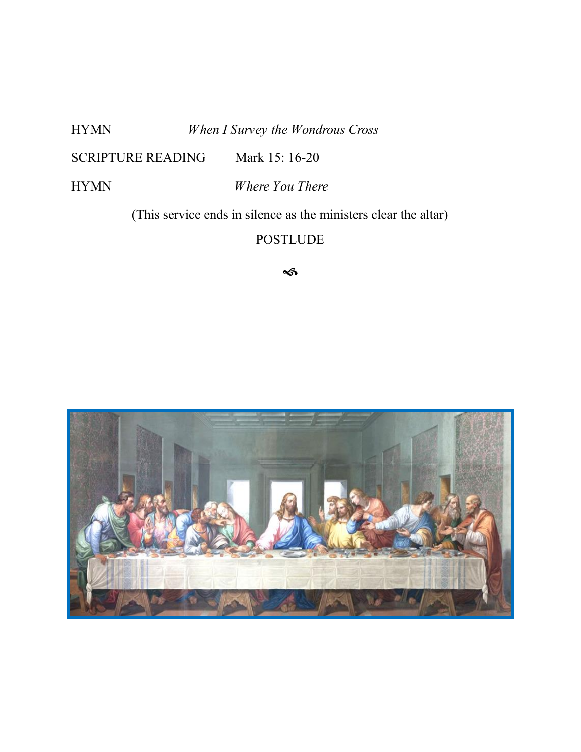HYMN *When I Survey the Wondrous Cross*

SCRIPTURE READING Mark 15: 16-20

HYMN *Where You There* 

(This service ends in silence as the ministers clear the altar)

POSTLUDE

 $\rightsquigarrow$